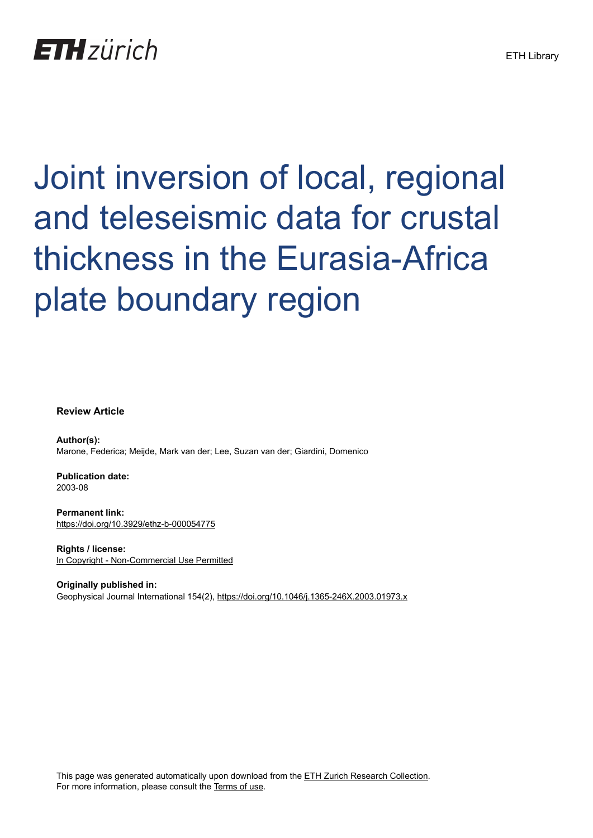## **ETH** zürich

# Joint inversion of local, regional and teleseismic data for crustal thickness in the Eurasia-Africa plate boundary region

**Review Article**

**Author(s):** Marone, Federica; Meijde, Mark van der; Lee, Suzan van der; Giardini, Domenico

**Publication date:** 2003-08

**Permanent link:** <https://doi.org/10.3929/ethz-b-000054775>

**Rights / license:** [In Copyright - Non-Commercial Use Permitted](http://rightsstatements.org/page/InC-NC/1.0/)

**Originally published in:** Geophysical Journal International 154(2),<https://doi.org/10.1046/j.1365-246X.2003.01973.x>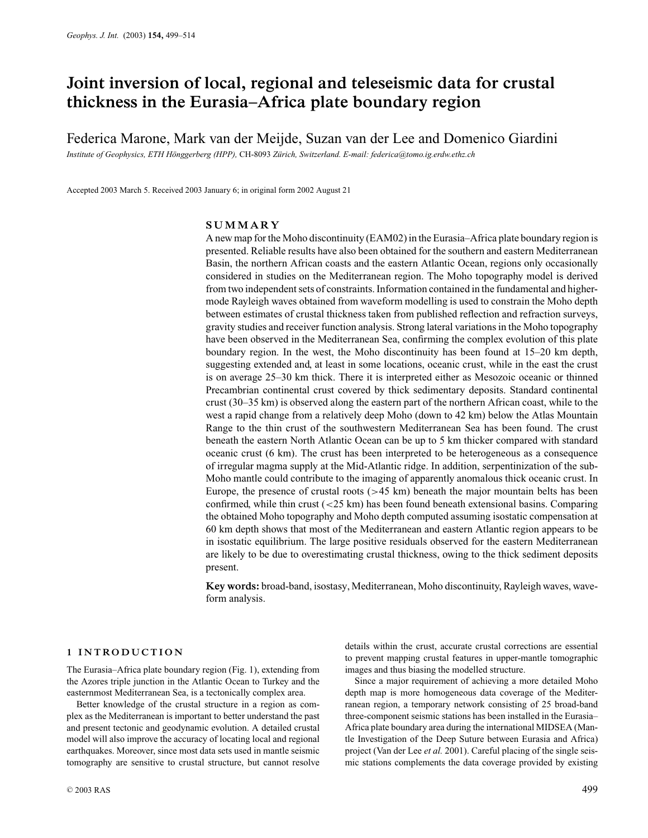### **Joint inversion of local, regional and teleseismic data for crustal thickness in the Eurasia–Africa plate boundary region**

Federica Marone, Mark van der Meijde, Suzan van der Lee and Domenico Giardini

*Institute of Geophysics, ETH H¨onggerberg (HPP),* CH-8093 *Z¨urich, Switzerland. E-mail: federica@tomo.ig.erdw.ethz.ch*

Accepted 2003 March 5. Received 2003 January 6; in original form 2002 August 21

#### **SUMMARY**

A new map for the Moho discontinuity (EAM02) in the Eurasia–Africa plate boundary region is presented. Reliable results have also been obtained for the southern and eastern Mediterranean Basin, the northern African coasts and the eastern Atlantic Ocean, regions only occasionally considered in studies on the Mediterranean region. The Moho topography model is derived from two independent sets of constraints. Information contained in the fundamental and highermode Rayleigh waves obtained from waveform modelling is used to constrain the Moho depth between estimates of crustal thickness taken from published reflection and refraction surveys, gravity studies and receiver function analysis. Strong lateral variations in the Moho topography have been observed in the Mediterranean Sea, confirming the complex evolution of this plate boundary region. In the west, the Moho discontinuity has been found at 15–20 km depth, suggesting extended and, at least in some locations, oceanic crust, while in the east the crust is on average 25–30 km thick. There it is interpreted either as Mesozoic oceanic or thinned Precambrian continental crust covered by thick sedimentary deposits. Standard continental crust (30–35 km) is observed along the eastern part of the northern African coast, while to the west a rapid change from a relatively deep Moho (down to 42 km) below the Atlas Mountain Range to the thin crust of the southwestern Mediterranean Sea has been found. The crust beneath the eastern North Atlantic Ocean can be up to 5 km thicker compared with standard oceanic crust (6 km). The crust has been interpreted to be heterogeneous as a consequence of irregular magma supply at the Mid-Atlantic ridge. In addition, serpentinization of the sub-Moho mantle could contribute to the imaging of apparently anomalous thick oceanic crust. In Europe, the presence of crustal roots  $(>= 45 \text{ km})$  beneath the major mountain belts has been confirmed, while thin crust  $\left( \langle 25 \text{ km} \rangle \right)$  has been found beneath extensional basins. Comparing the obtained Moho topography and Moho depth computed assuming isostatic compensation at 60 km depth shows that most of the Mediterranean and eastern Atlantic region appears to be in isostatic equilibrium. The large positive residuals observed for the eastern Mediterranean are likely to be due to overestimating crustal thickness, owing to the thick sediment deposits present.

**Key words:** broad-band, isostasy, Mediterranean, Moho discontinuity, Rayleigh waves, waveform analysis.

#### **1 INTRODUCTION**

The Eurasia–Africa plate boundary region (Fig. 1), extending from the Azores triple junction in the Atlantic Ocean to Turkey and the easternmost Mediterranean Sea, is a tectonically complex area.

Better knowledge of the crustal structure in a region as complex as the Mediterranean is important to better understand the past and present tectonic and geodynamic evolution. A detailed crustal model will also improve the accuracy of locating local and regional earthquakes. Moreover, since most data sets used in mantle seismic tomography are sensitive to crustal structure, but cannot resolve

details within the crust, accurate crustal corrections are essential to prevent mapping crustal features in upper-mantle tomographic images and thus biasing the modelled structure.

Since a major requirement of achieving a more detailed Moho depth map is more homogeneous data coverage of the Mediterranean region, a temporary network consisting of 25 broad-band three-component seismic stations has been installed in the Eurasia– Africa plate boundary area during the international MIDSEA (Mantle Investigation of the Deep Suture between Eurasia and Africa) project (Van der Lee *et al.* 2001). Careful placing of the single seismic stations complements the data coverage provided by existing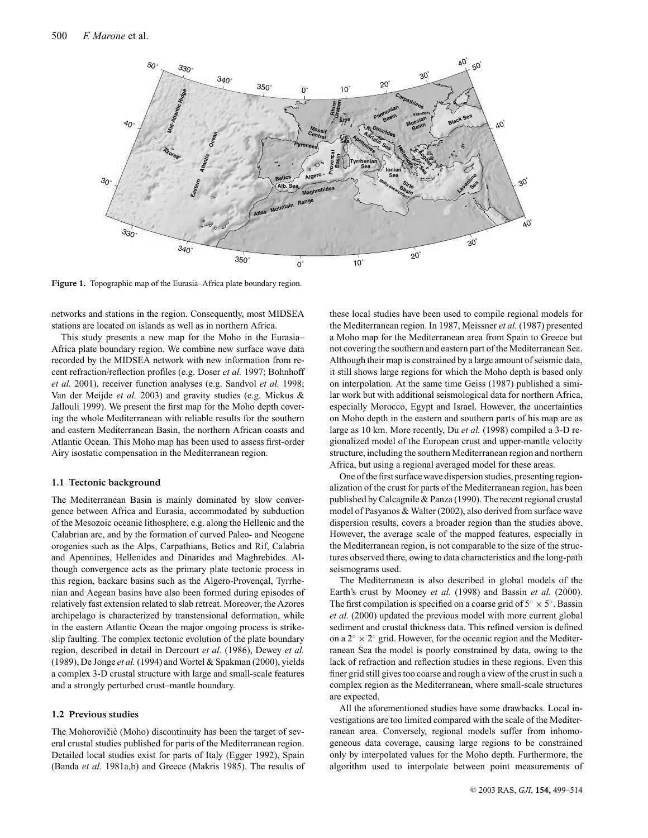

**Figure 1.** Topographic map of the Eurasia–Africa plate boundary region.

networks and stations in the region. Consequently, most MIDSEA stations are located on islands as well as in northern Africa.

This study presents a new map for the Moho in the Eurasia– Africa plate boundary region. We combine new surface wave data recorded by the MIDSEA network with new information from recent refraction/reflection profiles (e.g. Doser *et al.* 1997; Bohnhoff *et al.* 2001), receiver function analyses (e.g. Sandvol *et al.* 1998; Van der Meijde *et al.* 2003) and gravity studies (e.g. Mickus & Jallouli 1999). We present the first map for the Moho depth covering the whole Mediterranean with reliable results for the southern and eastern Mediterranean Basin, the northern African coasts and Atlantic Ocean. This Moho map has been used to assess first-order Airy isostatic compensation in the Mediterranean region.

#### **1.1 Tectonic background**

The Mediterranean Basin is mainly dominated by slow convergence between Africa and Eurasia, accommodated by subduction of the Mesozoic oceanic lithosphere, e.g. along the Hellenic and the Calabrian arc, and by the formation of curved Paleo- and Neogene orogenies such as the Alps, Carpathians, Betics and Rif, Calabria and Apennines, Hellenides and Dinarides and Maghrebides. Although convergence acts as the primary plate tectonic process in this region, backarc basins such as the Algero-Provençal, Tyrrhenian and Aegean basins have also been formed during episodes of relatively fast extension related to slab retreat. Moreover, the Azores archipelago is characterized by transtensional deformation, while in the eastern Atlantic Ocean the major ongoing process is strikeslip faulting. The complex tectonic evolution of the plate boundary region, described in detail in Dercourt *et al.* (1986), Dewey *et al.* (1989), De Jonge *et al.* (1994) and Wortel & Spakman (2000), yields a complex 3-D crustal structure with large and small-scale features and a strongly perturbed crust–mantle boundary.

#### **1.2 Previous studies**

The Mohorovičic (Moho) discontinuity has been the target of several crustal studies published for parts of the Mediterranean region. Detailed local studies exist for parts of Italy (Egger 1992), Spain (Banda *et al.* 1981a,b) and Greece (Makris 1985). The results of

these local studies have been used to compile regional models for the Mediterranean region. In 1987, Meissner *et al.* (1987) presented a Moho map for the Mediterranean area from Spain to Greece but not covering the southern and eastern part of the Mediterranean Sea. Although their map is constrained by a large amount of seismic data, it still shows large regions for which the Moho depth is based only on interpolation. At the same time Geiss (1987) published a similar work but with additional seismological data for northern Africa, especially Morocco, Egypt and Israel. However, the uncertainties on Moho depth in the eastern and southern parts of his map are as large as 10 km. More recently, Du *et al.* (1998) compiled a 3-D regionalized model of the European crust and upper-mantle velocity structure, including the southern Mediterranean region and northern Africa, but using a regional averaged model for these areas.

One of the first surface wave dispersion studies, presenting regionalization of the crust for parts of the Mediterranean region, has been published by Calcagnile & Panza (1990). The recent regional crustal model of Pasyanos & Walter (2002), also derived from surface wave dispersion results, covers a broader region than the studies above. However, the average scale of the mapped features, especially in the Mediterranean region, is not comparable to the size of the structures observed there, owing to data characteristics and the long-path seismograms used.

The Mediterranean is also described in global models of the Earth's crust by Mooney *et al.* (1998) and Bassin *et al.* (2000). The first compilation is specified on a coarse grid of  $5° \times 5°$ . Bassin *et al.* (2000) updated the previous model with more current global sediment and crustal thickness data. This refined version is defined on a  $2° \times 2°$  grid. However, for the oceanic region and the Mediterranean Sea the model is poorly constrained by data, owing to the lack of refraction and reflection studies in these regions. Even this finer grid still gives too coarse and rough a view of the crust in such a complex region as the Mediterranean, where small-scale structures are expected.

All the aforementioned studies have some drawbacks. Local investigations are too limited compared with the scale of the Mediterranean area. Conversely, regional models suffer from inhomogeneous data coverage, causing large regions to be constrained only by interpolated values for the Moho depth. Furthermore, the algorithm used to interpolate between point measurements of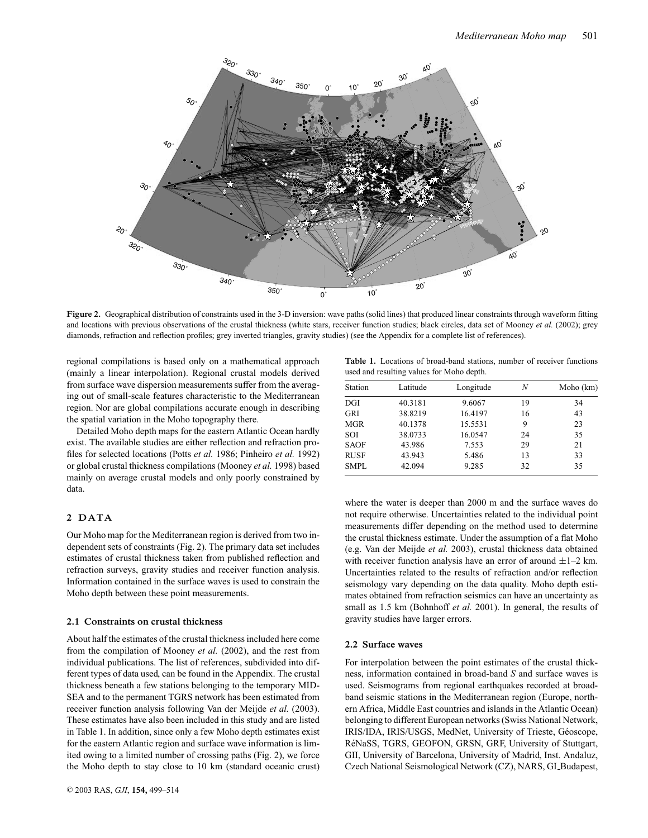

**Figure 2.** Geographical distribution of constraints used in the 3-D inversion: wave paths (solid lines) that produced linear constraints through waveform fitting and locations with previous observations of the crustal thickness (white stars, receiver function studies; black circles, data set of Mooney *et al.* (2002); grey diamonds, refraction and reflection profiles; grey inverted triangles, gravity studies) (see the Appendix for a complete list of references).

regional compilations is based only on a mathematical approach (mainly a linear interpolation). Regional crustal models derived from surface wave dispersion measurements suffer from the averaging out of small-scale features characteristic to the Mediterranean region. Nor are global compilations accurate enough in describing the spatial variation in the Moho topography there.

Detailed Moho depth maps for the eastern Atlantic Ocean hardly exist. The available studies are either reflection and refraction profiles for selected locations (Potts *et al.* 1986; Pinheiro *et al.* 1992) or global crustal thickness compilations (Mooney *et al.* 1998) based mainly on average crustal models and only poorly constrained by data.

#### **2 DATA**

Our Moho map for the Mediterranean region is derived from two independent sets of constraints (Fig. 2). The primary data set includes estimates of crustal thickness taken from published reflection and refraction surveys, gravity studies and receiver function analysis. Information contained in the surface waves is used to constrain the Moho depth between these point measurements.

#### **2.1 Constraints on crustal thickness**

About half the estimates of the crustal thickness included here come from the compilation of Mooney *et al.* (2002), and the rest from individual publications. The list of references, subdivided into different types of data used, can be found in the Appendix. The crustal thickness beneath a few stations belonging to the temporary MID-SEA and to the permanent TGRS network has been estimated from receiver function analysis following Van der Meijde *et al.* (2003). These estimates have also been included in this study and are listed in Table 1. In addition, since only a few Moho depth estimates exist for the eastern Atlantic region and surface wave information is limited owing to a limited number of crossing paths (Fig. 2), we force the Moho depth to stay close to 10 km (standard oceanic crust)

**Table 1.** Locations of broad-band stations, number of receiver functions used and resulting values for Moho depth.

| Station     | Latitude | Longitude | Ν  | Moho (km) |
|-------------|----------|-----------|----|-----------|
| DGI         | 40.3181  | 9.6067    | 19 | 34        |
| GRI         | 38.8219  | 16.4197   | 16 | 43        |
| <b>MGR</b>  | 40.1378  | 15.5531   | 9  | 23        |
| <b>SOI</b>  | 38.0733  | 16.0547   | 24 | 35        |
| <b>SAOF</b> | 43.986   | 7.553     | 29 | 21        |
| <b>RUSF</b> | 43.943   | 5.486     | 13 | 33        |
| SMPL        | 42.094   | 9.285     | 32 | 35        |

where the water is deeper than 2000 m and the surface waves do not require otherwise. Uncertainties related to the individual point measurements differ depending on the method used to determine the crustal thickness estimate. Under the assumption of a flat Moho (e.g. Van der Meijde *et al.* 2003), crustal thickness data obtained with receiver function analysis have an error of around  $\pm 1$ –2 km. Uncertainties related to the results of refraction and/or reflection seismology vary depending on the data quality. Moho depth estimates obtained from refraction seismics can have an uncertainty as small as 1.5 km (Bohnhoff *et al.* 2001). In general, the results of gravity studies have larger errors.

#### **2.2 Surface waves**

For interpolation between the point estimates of the crustal thickness, information contained in broad-band *S* and surface waves is used. Seismograms from regional earthquakes recorded at broadband seismic stations in the Mediterranean region (Europe, northern Africa, Middle East countries and islands in the Atlantic Ocean) belonging to different European networks (Swiss National Network, IRIS/IDA, IRIS/USGS, MedNet, University of Trieste, Geoscope, ´ RéNaSS, TGRS, GEOFON, GRSN, GRF, University of Stuttgart, GII, University of Barcelona, University of Madrid, Inst. Andaluz, Czech National Seismological Network (CZ), NARS, GI Budapest,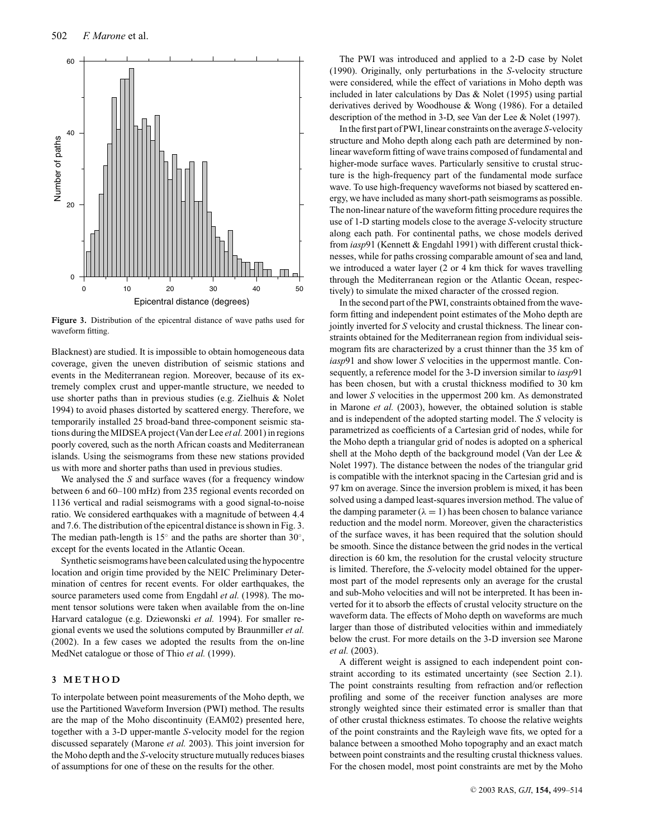

**Figure 3.** Distribution of the epicentral distance of wave paths used for waveform fitting.

Blacknest) are studied. It is impossible to obtain homogeneous data coverage, given the uneven distribution of seismic stations and events in the Mediterranean region. Moreover, because of its extremely complex crust and upper-mantle structure, we needed to use shorter paths than in previous studies (e.g. Zielhuis & Nolet 1994) to avoid phases distorted by scattered energy. Therefore, we temporarily installed 25 broad-band three-component seismic stations during the MIDSEA project (Van der Lee *et al.* 2001) in regions poorly covered, such as the north African coasts and Mediterranean islands. Using the seismograms from these new stations provided us with more and shorter paths than used in previous studies.

We analysed the *S* and surface waves (for a frequency window between 6 and 60–100 mHz) from 235 regional events recorded on 1136 vertical and radial seismograms with a good signal-to-noise ratio. We considered earthquakes with a magnitude of between 4.4 and 7.6. The distribution of the epicentral distance is shown in Fig. 3. The median path-length is  $15°$  and the paths are shorter than  $30°$ , except for the events located in the Atlantic Ocean.

Synthetic seismograms have been calculated using the hypocentre location and origin time provided by the NEIC Preliminary Determination of centres for recent events. For older earthquakes, the source parameters used come from Engdahl *et al.* (1998). The moment tensor solutions were taken when available from the on-line Harvard catalogue (e.g. Dziewonski *et al.* 1994). For smaller regional events we used the solutions computed by Braunmiller *et al.* (2002). In a few cases we adopted the results from the on-line MedNet catalogue or those of Thio *et al.* (1999).

#### **3 METHOD**

To interpolate between point measurements of the Moho depth, we use the Partitioned Waveform Inversion (PWI) method. The results are the map of the Moho discontinuity (EAM02) presented here, together with a 3-D upper-mantle *S*-velocity model for the region discussed separately (Marone *et al.* 2003). This joint inversion for the Moho depth and the *S*-velocity structure mutually reduces biases of assumptions for one of these on the results for the other.

The PWI was introduced and applied to a 2-D case by Nolet (1990). Originally, only perturbations in the *S*-velocity structure were considered, while the effect of variations in Moho depth was included in later calculations by Das & Nolet (1995) using partial derivatives derived by Woodhouse & Wong (1986). For a detailed description of the method in 3-D, see Van der Lee & Nolet (1997).

In the first part of PWI, linear constraints on the average *S*-velocity structure and Moho depth along each path are determined by nonlinear waveform fitting of wave trains composed of fundamental and higher-mode surface waves. Particularly sensitive to crustal structure is the high-frequency part of the fundamental mode surface wave. To use high-frequency waveforms not biased by scattered energy, we have included as many short-path seismograms as possible. The non-linear nature of the waveform fitting procedure requires the use of 1-D starting models close to the average *S*-velocity structure along each path. For continental paths, we chose models derived from *iasp*91 (Kennett & Engdahl 1991) with different crustal thicknesses, while for paths crossing comparable amount of sea and land, we introduced a water layer (2 or 4 km thick for waves travelling through the Mediterranean region or the Atlantic Ocean, respectively) to simulate the mixed character of the crossed region.

In the second part of the PWI, constraints obtained from the waveform fitting and independent point estimates of the Moho depth are jointly inverted for *S* velocity and crustal thickness. The linear constraints obtained for the Mediterranean region from individual seismogram fits are characterized by a crust thinner than the 35 km of *iasp*91 and show lower *S* velocities in the uppermost mantle. Consequently, a reference model for the 3-D inversion similar to *iasp*91 has been chosen, but with a crustal thickness modified to 30 km and lower *S* velocities in the uppermost 200 km. As demonstrated in Marone *et al.* (2003), however, the obtained solution is stable and is independent of the adopted starting model. The *S* velocity is parametrized as coefficients of a Cartesian grid of nodes, while for the Moho depth a triangular grid of nodes is adopted on a spherical shell at the Moho depth of the background model (Van der Lee & Nolet 1997). The distance between the nodes of the triangular grid is compatible with the interknot spacing in the Cartesian grid and is 97 km on average. Since the inversion problem is mixed, it has been solved using a damped least-squares inversion method. The value of the damping parameter ( $\lambda = 1$ ) has been chosen to balance variance reduction and the model norm. Moreover, given the characteristics of the surface waves, it has been required that the solution should be smooth. Since the distance between the grid nodes in the vertical direction is 60 km, the resolution for the crustal velocity structure is limited. Therefore, the *S*-velocity model obtained for the uppermost part of the model represents only an average for the crustal and sub-Moho velocities and will not be interpreted. It has been inverted for it to absorb the effects of crustal velocity structure on the waveform data. The effects of Moho depth on waveforms are much larger than those of distributed velocities within and immediately below the crust. For more details on the 3-D inversion see Marone *et al.* (2003).

A different weight is assigned to each independent point constraint according to its estimated uncertainty (see Section 2.1). The point constraints resulting from refraction and/or reflection profiling and some of the receiver function analyses are more strongly weighted since their estimated error is smaller than that of other crustal thickness estimates. To choose the relative weights of the point constraints and the Rayleigh wave fits, we opted for a balance between a smoothed Moho topography and an exact match between point constraints and the resulting crustal thickness values. For the chosen model, most point constraints are met by the Moho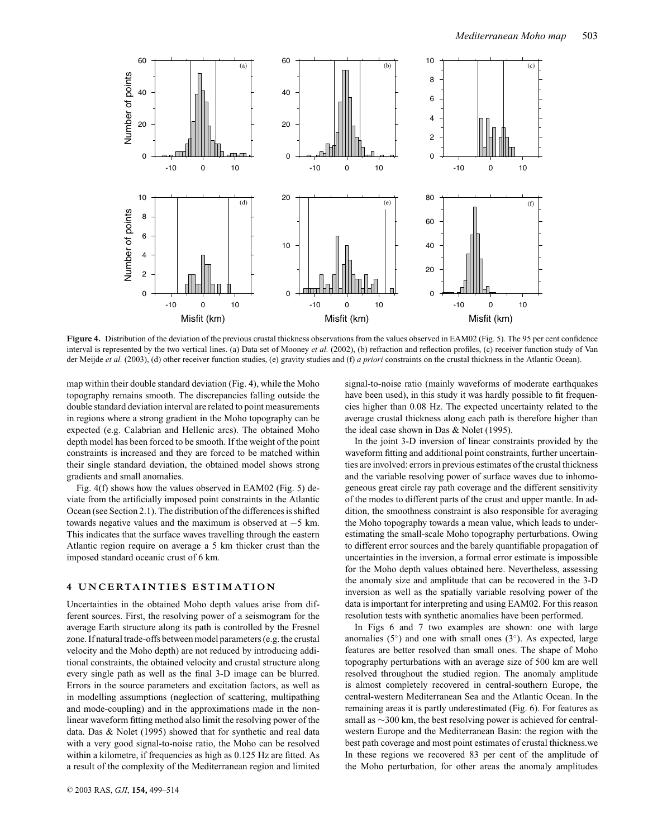

Figure 4. Distribution of the deviation of the previous crustal thickness observations from the values observed in EAM02 (Fig. 5). The 95 per cent confidence interval is represented by the two vertical lines. (a) Data set of Mooney *et al.* (2002), (b) refraction and reflection profiles, (c) receiver function study of Van der Meijde *et al.* (2003), (d) other receiver function studies, (e) gravity studies and (f) *a priori* constraints on the crustal thickness in the Atlantic Ocean).

map within their double standard deviation (Fig. 4), while the Moho topography remains smooth. The discrepancies falling outside the double standard deviation interval are related to point measurements in regions where a strong gradient in the Moho topography can be expected (e.g. Calabrian and Hellenic arcs). The obtained Moho depth model has been forced to be smooth. If the weight of the point constraints is increased and they are forced to be matched within their single standard deviation, the obtained model shows strong gradients and small anomalies.

Fig. 4(f) shows how the values observed in EAM02 (Fig. 5) deviate from the artificially imposed point constraints in the Atlantic Ocean (see Section 2.1). The distribution of the differences is shifted towards negative values and the maximum is observed at −5 km. This indicates that the surface waves travelling through the eastern Atlantic region require on average a 5 km thicker crust than the imposed standard oceanic crust of 6 km.

#### **4 UNCERTAINTIES ESTIMATION**

Uncertainties in the obtained Moho depth values arise from different sources. First, the resolving power of a seismogram for the average Earth structure along its path is controlled by the Fresnel zone. If natural trade-offs between model parameters (e.g. the crustal velocity and the Moho depth) are not reduced by introducing additional constraints, the obtained velocity and crustal structure along every single path as well as the final 3-D image can be blurred. Errors in the source parameters and excitation factors, as well as in modelling assumptions (neglection of scattering, multipathing and mode-coupling) and in the approximations made in the nonlinear waveform fitting method also limit the resolving power of the data. Das & Nolet (1995) showed that for synthetic and real data with a very good signal-to-noise ratio, the Moho can be resolved within a kilometre, if frequencies as high as 0.125 Hz are fitted. As a result of the complexity of the Mediterranean region and limited

signal-to-noise ratio (mainly waveforms of moderate earthquakes have been used), in this study it was hardly possible to fit frequencies higher than 0.08 Hz. The expected uncertainty related to the average crustal thickness along each path is therefore higher than the ideal case shown in Das & Nolet (1995).

In the joint 3-D inversion of linear constraints provided by the waveform fitting and additional point constraints, further uncertainties are involved: errors in previous estimates of the crustal thickness and the variable resolving power of surface waves due to inhomogeneous great circle ray path coverage and the different sensitivity of the modes to different parts of the crust and upper mantle. In addition, the smoothness constraint is also responsible for averaging the Moho topography towards a mean value, which leads to underestimating the small-scale Moho topography perturbations. Owing to different error sources and the barely quantifiable propagation of uncertainties in the inversion, a formal error estimate is impossible for the Moho depth values obtained here. Nevertheless, assessing the anomaly size and amplitude that can be recovered in the 3-D inversion as well as the spatially variable resolving power of the data is important for interpreting and using EAM02. For this reason resolution tests with synthetic anomalies have been performed.

In Figs 6 and 7 two examples are shown: one with large anomalies  $(5°)$  and one with small ones  $(3°)$ . As expected, large features are better resolved than small ones. The shape of Moho topography perturbations with an average size of 500 km are well resolved throughout the studied region. The anomaly amplitude is almost completely recovered in central-southern Europe, the central-western Mediterranean Sea and the Atlantic Ocean. In the remaining areas it is partly underestimated (Fig. 6). For features as small as ∼300 km, the best resolving power is achieved for centralwestern Europe and the Mediterranean Basin: the region with the best path coverage and most point estimates of crustal thickness.we In these regions we recovered 83 per cent of the amplitude of the Moho perturbation, for other areas the anomaly amplitudes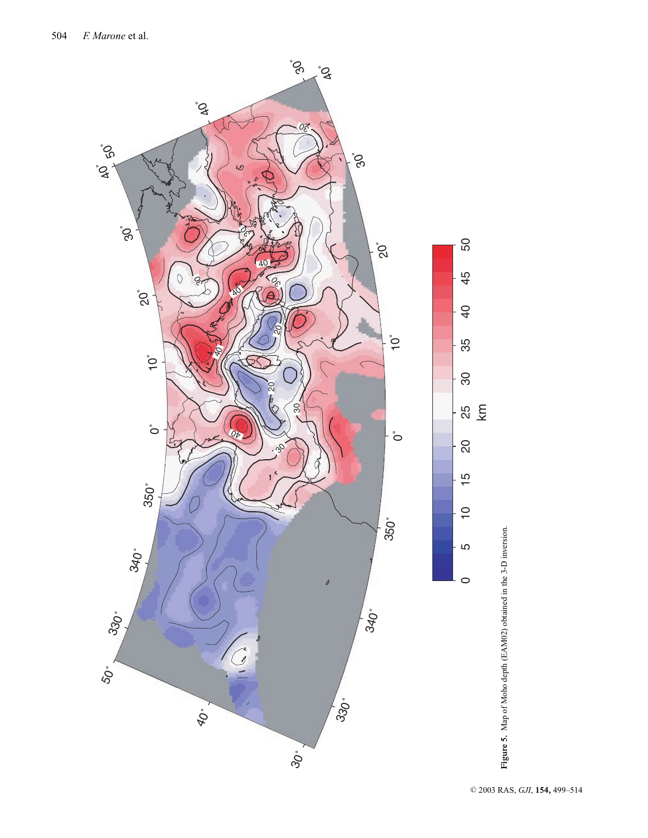

Figure 5. Map of Moho depth (EAM02) obtained in the 3-D inversion. **Figure 5.** Map of Moho depth (EAM02) obtained in the 3-D inversion.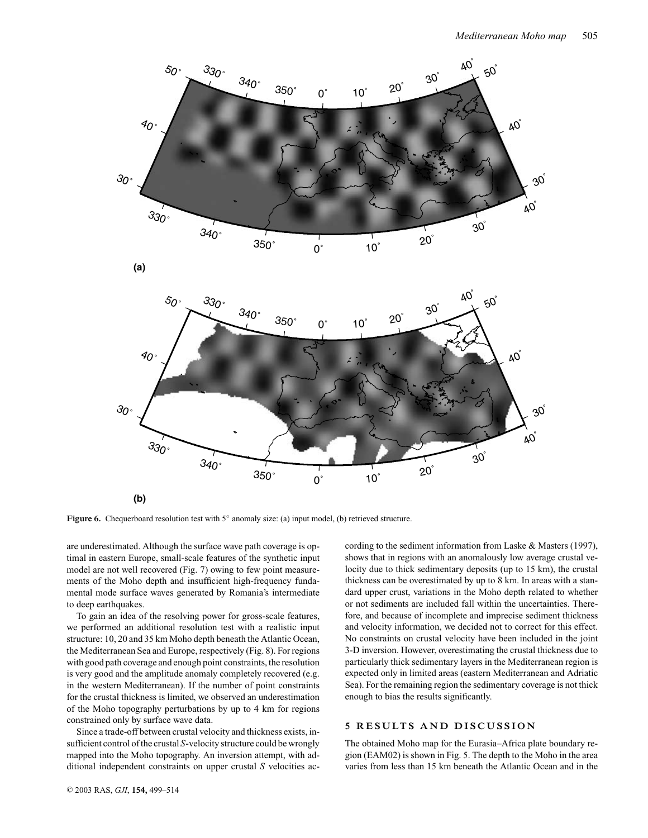

**Figure 6.** Chequerboard resolution test with 5◦ anomaly size: (a) input model, (b) retrieved structure.

are underestimated. Although the surface wave path coverage is optimal in eastern Europe, small-scale features of the synthetic input model are not well recovered (Fig. 7) owing to few point measurements of the Moho depth and insufficient high-frequency fundamental mode surface waves generated by Romania's intermediate to deep earthquakes.

To gain an idea of the resolving power for gross-scale features, we performed an additional resolution test with a realistic input structure: 10, 20 and 35 km Moho depth beneath the Atlantic Ocean, the Mediterranean Sea and Europe, respectively (Fig. 8). For regions with good path coverage and enough point constraints, the resolution is very good and the amplitude anomaly completely recovered (e.g. in the western Mediterranean). If the number of point constraints for the crustal thickness is limited, we observed an underestimation of the Moho topography perturbations by up to 4 km for regions constrained only by surface wave data.

Since a trade-off between crustal velocity and thickness exists, insufficient control of the crustal *S*-velocity structure could be wrongly mapped into the Moho topography. An inversion attempt, with additional independent constraints on upper crustal *S* velocities ac-

cording to the sediment information from Laske & Masters (1997), shows that in regions with an anomalously low average crustal velocity due to thick sedimentary deposits (up to 15 km), the crustal thickness can be overestimated by up to 8 km. In areas with a standard upper crust, variations in the Moho depth related to whether or not sediments are included fall within the uncertainties. Therefore, and because of incomplete and imprecise sediment thickness and velocity information, we decided not to correct for this effect. No constraints on crustal velocity have been included in the joint 3-D inversion. However, overestimating the crustal thickness due to particularly thick sedimentary layers in the Mediterranean region is expected only in limited areas (eastern Mediterranean and Adriatic Sea). For the remaining region the sedimentary coverage is not thick enough to bias the results significantly.

#### **5 RESULTS AND DISCUSSION**

The obtained Moho map for the Eurasia–Africa plate boundary region (EAM02) is shown in Fig. 5. The depth to the Moho in the area varies from less than 15 km beneath the Atlantic Ocean and in the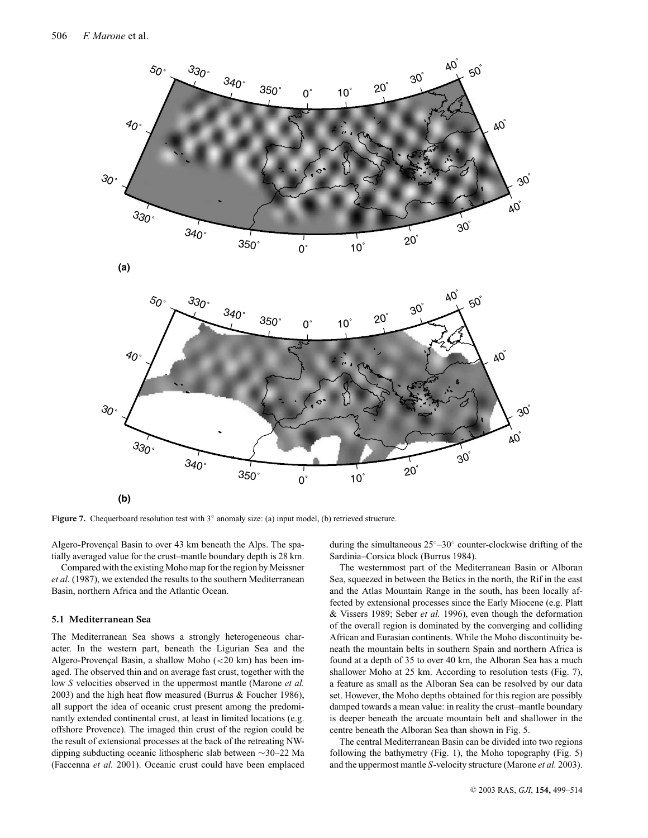

**Figure 7.** Chequerboard resolution test with 3◦ anomaly size: (a) input model, (b) retrieved structure.

Algero-Provençal Basin to over 43 km beneath the Alps. The spatially averaged value for the crust–mantle boundary depth is 28 km.

Compared with the existing Moho map for the region by Meissner *et al.* (1987), we extended the results to the southern Mediterranean Basin, northern Africa and the Atlantic Ocean.

#### **5.1 Mediterranean Sea**

The Mediterranean Sea shows a strongly heterogeneous character. In the western part, beneath the Ligurian Sea and the Algero-Provençal Basin, a shallow Moho  $(<20 \text{ km})$  has been imaged. The observed thin and on average fast crust, together with the low *S* velocities observed in the uppermost mantle (Marone *et al.* 2003) and the high heat flow measured (Burrus & Foucher 1986), all support the idea of oceanic crust present among the predominantly extended continental crust, at least in limited locations (e.g. offshore Provence). The imaged thin crust of the region could be the result of extensional processes at the back of the retreating NWdipping subducting oceanic lithospheric slab between ∼30–22 Ma (Faccenna *et al.* 2001). Oceanic crust could have been emplaced during the simultaneous 25◦–30◦ counter-clockwise drifting of the Sardinia–Corsica block (Burrus 1984).

The westernmost part of the Mediterranean Basin or Alboran Sea, squeezed in between the Betics in the north, the Rif in the east and the Atlas Mountain Range in the south, has been locally affected by extensional processes since the Early Miocene (e.g. Platt & Vissers 1989; Seber *et al.* 1996), even though the deformation of the overall region is dominated by the converging and colliding African and Eurasian continents. While the Moho discontinuity beneath the mountain belts in southern Spain and northern Africa is found at a depth of 35 to over 40 km, the Alboran Sea has a much shallower Moho at 25 km. According to resolution tests (Fig. 7), a feature as small as the Alboran Sea can be resolved by our data set. However, the Moho depths obtained for this region are possibly damped towards a mean value: in reality the crust–mantle boundary is deeper beneath the arcuate mountain belt and shallower in the centre beneath the Alboran Sea than shown in Fig. 5.

The central Mediterranean Basin can be divided into two regions following the bathymetry (Fig. 1), the Moho topography (Fig. 5) and the uppermost mantle *S*-velocity structure (Marone *et al.* 2003).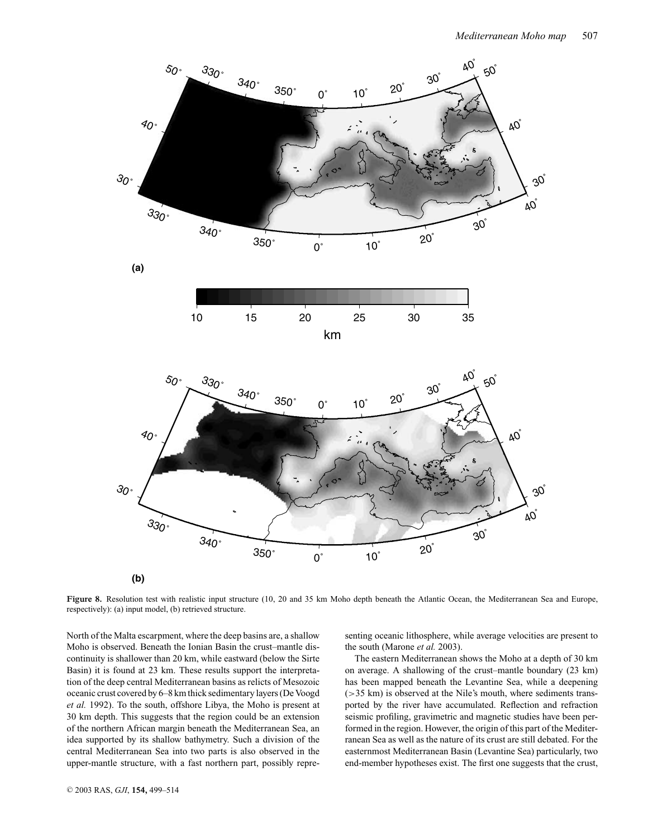

Figure 8. Resolution test with realistic input structure (10, 20 and 35 km Moho depth beneath the Atlantic Ocean, the Mediterranean Sea and Europe, respectively): (a) input model, (b) retrieved structure.

North of the Malta escarpment, where the deep basins are, a shallow Moho is observed. Beneath the Ionian Basin the crust–mantle discontinuity is shallower than 20 km, while eastward (below the Sirte Basin) it is found at 23 km. These results support the interpretation of the deep central Mediterranean basins as relicts of Mesozoic oceanic crust covered by 6–8 km thick sedimentary layers (De Voogd *et al.* 1992). To the south, offshore Libya, the Moho is present at 30 km depth. This suggests that the region could be an extension of the northern African margin beneath the Mediterranean Sea, an idea supported by its shallow bathymetry. Such a division of the central Mediterranean Sea into two parts is also observed in the upper-mantle structure, with a fast northern part, possibly repre-

senting oceanic lithosphere, while average velocities are present to the south (Marone *et al.* 2003).

The eastern Mediterranean shows the Moho at a depth of 30 km on average. A shallowing of the crust–mantle boundary (23 km) has been mapped beneath the Levantine Sea, while a deepening (>35 km) is observed at the Nile's mouth, where sediments transported by the river have accumulated. Reflection and refraction seismic profiling, gravimetric and magnetic studies have been performed in the region. However, the origin of this part of the Mediterranean Sea as well as the nature of its crust are still debated. For the easternmost Mediterranean Basin (Levantine Sea) particularly, two end-member hypotheses exist. The first one suggests that the crust,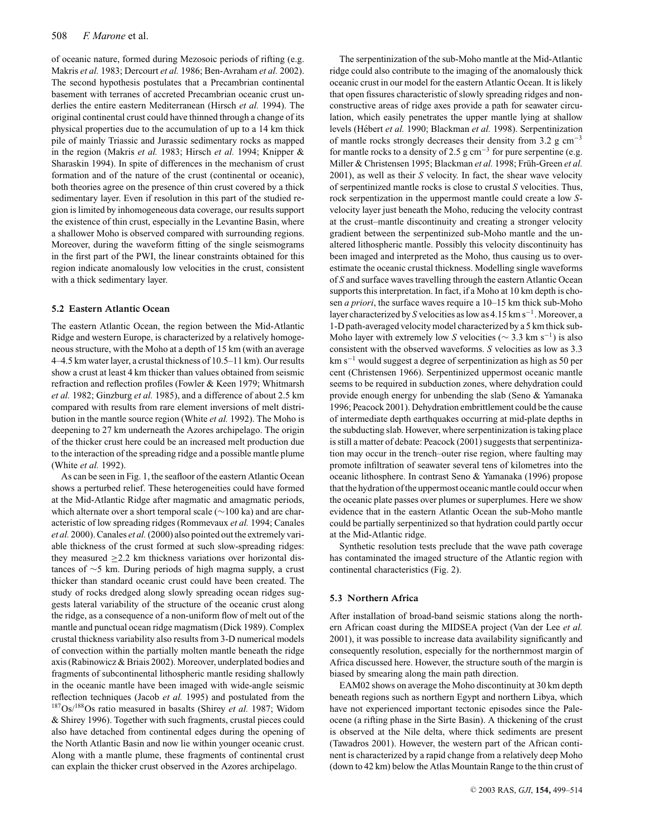of oceanic nature, formed during Mezosoic periods of rifting (e.g. Makris *et al.* 1983; Dercourt *et al.* 1986; Ben-Avraham *et al.* 2002). The second hypothesis postulates that a Precambrian continental basement with terranes of accreted Precambrian oceanic crust underlies the entire eastern Mediterranean (Hirsch *et al.* 1994). The original continental crust could have thinned through a change of its physical properties due to the accumulation of up to a 14 km thick pile of mainly Triassic and Jurassic sedimentary rocks as mapped in the region (Makris *et al.* 1983; Hirsch *et al.* 1994; Knipper & Sharaskin 1994). In spite of differences in the mechanism of crust formation and of the nature of the crust (continental or oceanic), both theories agree on the presence of thin crust covered by a thick sedimentary layer. Even if resolution in this part of the studied region is limited by inhomogeneous data coverage, our results support the existence of thin crust, especially in the Levantine Basin, where a shallower Moho is observed compared with surrounding regions. Moreover, during the waveform fitting of the single seismograms in the first part of the PWI, the linear constraints obtained for this region indicate anomalously low velocities in the crust, consistent with a thick sedimentary layer.

#### **5.2 Eastern Atlantic Ocean**

The eastern Atlantic Ocean, the region between the Mid-Atlantic Ridge and western Europe, is characterized by a relatively homogeneous structure, with the Moho at a depth of 15 km (with an average 4–4.5 km water layer, a crustal thickness of 10.5–11 km). Our results show a crust at least 4 km thicker than values obtained from seismic refraction and reflection profiles (Fowler & Keen 1979; Whitmarsh *et al.* 1982; Ginzburg *et al.* 1985), and a difference of about 2.5 km compared with results from rare element inversions of melt distribution in the mantle source region (White *et al.* 1992). The Moho is deepening to 27 km underneath the Azores archipelago. The origin of the thicker crust here could be an increased melt production due to the interaction of the spreading ridge and a possible mantle plume (White *et al.* 1992).

As can be seen in Fig. 1, the seafloor of the eastern Atlantic Ocean shows a perturbed relief. These heterogeneities could have formed at the Mid-Atlantic Ridge after magmatic and amagmatic periods, which alternate over a short temporal scale (∼100 ka) and are characteristic of low spreading ridges (Rommevaux *et al.* 1994; Canales *et al.* 2000). Canales *et al.*(2000) also pointed out the extremely variable thickness of the crust formed at such slow-spreading ridges: they measured  $\geq$  2.2 km thickness variations over horizontal distances of ∼5 km. During periods of high magma supply, a crust thicker than standard oceanic crust could have been created. The study of rocks dredged along slowly spreading ocean ridges suggests lateral variability of the structure of the oceanic crust along the ridge, as a consequence of a non-uniform flow of melt out of the mantle and punctual ocean ridge magmatism (Dick 1989). Complex crustal thickness variability also results from 3-D numerical models of convection within the partially molten mantle beneath the ridge axis (Rabinowicz & Briais 2002). Moreover, underplated bodies and fragments of subcontinental lithospheric mantle residing shallowly in the oceanic mantle have been imaged with wide-angle seismic reflection techniques (Jacob *et al.* 1995) and postulated from the 187Os/188Os ratio measured in basalts (Shirey *et al.* 1987; Widom & Shirey 1996). Together with such fragments, crustal pieces could also have detached from continental edges during the opening of the North Atlantic Basin and now lie within younger oceanic crust. Along with a mantle plume, these fragments of continental crust can explain the thicker crust observed in the Azores archipelago.

The serpentinization of the sub-Moho mantle at the Mid-Atlantic ridge could also contribute to the imaging of the anomalously thick oceanic crust in our model for the eastern Atlantic Ocean. It is likely that open fissures characteristic of slowly spreading ridges and nonconstructive areas of ridge axes provide a path for seawater circulation, which easily penetrates the upper mantle lying at shallow levels (Hébert et al. 1990; Blackman et al. 1998). Serpentinization of mantle rocks strongly decreases their density from 3.2 g cm−<sup>3</sup> for mantle rocks to a density of 2.5 g cm<sup>-3</sup> for pure serpentine (e.g. Miller & Christensen 1995; Blackman et al. 1998; Früh-Green et al. 2001), as well as their *S* velocity. In fact, the shear wave velocity of serpentinized mantle rocks is close to crustal *S* velocities. Thus, rock serpentization in the uppermost mantle could create a low *S*velocity layer just beneath the Moho, reducing the velocity contrast at the crust–mantle discontinuity and creating a stronger velocity gradient between the serpentinized sub-Moho mantle and the unaltered lithospheric mantle. Possibly this velocity discontinuity has been imaged and interpreted as the Moho, thus causing us to overestimate the oceanic crustal thickness. Modelling single waveforms of *S* and surface waves travelling through the eastern Atlantic Ocean supports this interpretation. In fact, if a Moho at 10 km depth is chosen *a priori*, the surface waves require a 10–15 km thick sub-Moho layer characterized by *S* velocities as low as 4.15 km s−1. Moreover, a 1-D path-averaged velocity model characterized by a 5 km thick sub-Moho layer with extremely low *S* velocities ( $\sim$  3.3 km s<sup>-1</sup>) is also consistent with the observed waveforms. *S* velocities as low as 3.3 km s−<sup>1</sup> would suggest a degree of serpentinization as high as 50 per cent (Christensen 1966). Serpentinized uppermost oceanic mantle seems to be required in subduction zones, where dehydration could provide enough energy for unbending the slab (Seno & Yamanaka 1996; Peacock 2001). Dehydration embrittlement could be the cause of intermediate depth earthquakes occurring at mid-plate depths in the subducting slab. However, where serpentinization is taking place is still a matter of debate: Peacock (2001) suggests that serpentinization may occur in the trench–outer rise region, where faulting may promote infiltration of seawater several tens of kilometres into the oceanic lithosphere. In contrast Seno & Yamanaka (1996) propose that the hydration of the uppermost oceanic mantle could occur when the oceanic plate passes over plumes or superplumes. Here we show evidence that in the eastern Atlantic Ocean the sub-Moho mantle could be partially serpentinized so that hydration could partly occur at the Mid-Atlantic ridge.

Synthetic resolution tests preclude that the wave path coverage has contaminated the imaged structure of the Atlantic region with continental characteristics (Fig. 2).

#### **5.3 Northern Africa**

After installation of broad-band seismic stations along the northern African coast during the MIDSEA project (Van der Lee *et al.* 2001), it was possible to increase data availability significantly and consequently resolution, especially for the northernmost margin of Africa discussed here. However, the structure south of the margin is biased by smearing along the main path direction.

EAM02 shows on average the Moho discontinuity at 30 km depth beneath regions such as northern Egypt and northern Libya, which have not experienced important tectonic episodes since the Paleocene (a rifting phase in the Sirte Basin). A thickening of the crust is observed at the Nile delta, where thick sediments are present (Tawadros 2001). However, the western part of the African continent is characterized by a rapid change from a relatively deep Moho (down to 42 km) below the Atlas Mountain Range to the thin crust of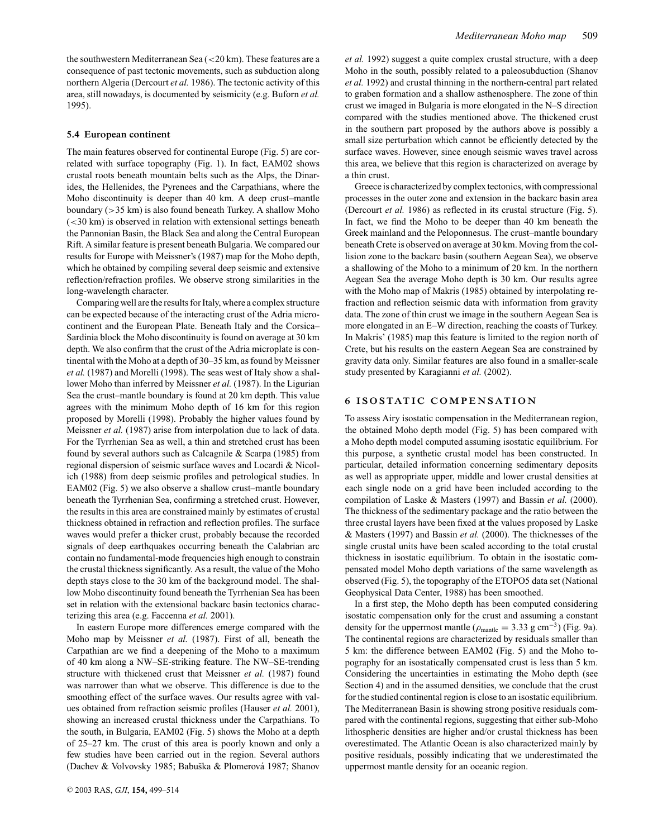the southwestern Mediterranean Sea (<20 km). These features are a consequence of past tectonic movements, such as subduction along northern Algeria (Dercourt *et al.* 1986). The tectonic activity of this area, still nowadays, is documented by seismicity (e.g. Buforn *et al.* 1995).

#### **5.4 European continent**

The main features observed for continental Europe (Fig. 5) are correlated with surface topography (Fig. 1). In fact, EAM02 shows crustal roots beneath mountain belts such as the Alps, the Dinarides, the Hellenides, the Pyrenees and the Carpathians, where the Moho discontinuity is deeper than 40 km. A deep crust–mantle boundary (>35 km) is also found beneath Turkey. A shallow Moho (<30 km) is observed in relation with extensional settings beneath the Pannonian Basin, the Black Sea and along the Central European Rift. A similar feature is present beneath Bulgaria. We compared our results for Europe with Meissner's (1987) map for the Moho depth, which he obtained by compiling several deep seismic and extensive reflection/refraction profiles. We observe strong similarities in the long-wavelength character.

Comparing well are the results for Italy, where a complex structure can be expected because of the interacting crust of the Adria microcontinent and the European Plate. Beneath Italy and the Corsica– Sardinia block the Moho discontinuity is found on average at 30 km depth. We also confirm that the crust of the Adria microplate is continental with the Moho at a depth of 30–35 km, as found by Meissner *et al.* (1987) and Morelli (1998). The seas west of Italy show a shallower Moho than inferred by Meissner *et al.* (1987). In the Ligurian Sea the crust–mantle boundary is found at 20 km depth. This value agrees with the minimum Moho depth of 16 km for this region proposed by Morelli (1998). Probably the higher values found by Meissner *et al.* (1987) arise from interpolation due to lack of data. For the Tyrrhenian Sea as well, a thin and stretched crust has been found by several authors such as Calcagnile & Scarpa (1985) from regional dispersion of seismic surface waves and Locardi & Nicolich (1988) from deep seismic profiles and petrological studies. In EAM02 (Fig. 5) we also observe a shallow crust–mantle boundary beneath the Tyrrhenian Sea, confirming a stretched crust. However, the results in this area are constrained mainly by estimates of crustal thickness obtained in refraction and reflection profiles. The surface waves would prefer a thicker crust, probably because the recorded signals of deep earthquakes occurring beneath the Calabrian arc contain no fundamental-mode frequencies high enough to constrain the crustal thickness significantly. As a result, the value of the Moho depth stays close to the 30 km of the background model. The shallow Moho discontinuity found beneath the Tyrrhenian Sea has been set in relation with the extensional backarc basin tectonics characterizing this area (e.g. Faccenna *et al.* 2001).

In eastern Europe more differences emerge compared with the Moho map by Meissner *et al.* (1987). First of all, beneath the Carpathian arc we find a deepening of the Moho to a maximum of 40 km along a NW–SE-striking feature. The NW–SE-trending structure with thickened crust that Meissner *et al.* (1987) found was narrower than what we observe. This difference is due to the smoothing effect of the surface waves. Our results agree with values obtained from refraction seismic profiles (Hauser *et al.* 2001), showing an increased crustal thickness under the Carpathians. To the south, in Bulgaria, EAM02 (Fig. 5) shows the Moho at a depth of 25–27 km. The crust of this area is poorly known and only a few studies have been carried out in the region. Several authors (Dachev & Volvovsky 1985; Babuška & Plomerová 1987; Shanov *et al.* 1992) suggest a quite complex crustal structure, with a deep Moho in the south, possibly related to a paleosubduction (Shanov *et al.* 1992) and crustal thinning in the northern-central part related to graben formation and a shallow asthenosphere. The zone of thin crust we imaged in Bulgaria is more elongated in the N–S direction compared with the studies mentioned above. The thickened crust in the southern part proposed by the authors above is possibly a small size perturbation which cannot be efficiently detected by the surface waves. However, since enough seismic waves travel across this area, we believe that this region is characterized on average by a thin crust.

Greece is characterized by complex tectonics, with compressional processes in the outer zone and extension in the backarc basin area (Dercourt *et al.* 1986) as reflected in its crustal structure (Fig. 5). In fact, we find the Moho to be deeper than 40 km beneath the Greek mainland and the Peloponnesus. The crust–mantle boundary beneath Crete is observed on average at 30 km. Moving from the collision zone to the backarc basin (southern Aegean Sea), we observe a shallowing of the Moho to a minimum of 20 km. In the northern Aegean Sea the average Moho depth is 30 km. Our results agree with the Moho map of Makris (1985) obtained by interpolating refraction and reflection seismic data with information from gravity data. The zone of thin crust we image in the southern Aegean Sea is more elongated in an E–W direction, reaching the coasts of Turkey. In Makris' (1985) map this feature is limited to the region north of Crete, but his results on the eastern Aegean Sea are constrained by gravity data only. Similar features are also found in a smaller-scale study presented by Karagianni *et al.* (2002).

#### **6 ISOSTATIC COMPENSATION**

To assess Airy isostatic compensation in the Mediterranean region, the obtained Moho depth model (Fig. 5) has been compared with a Moho depth model computed assuming isostatic equilibrium. For this purpose, a synthetic crustal model has been constructed. In particular, detailed information concerning sedimentary deposits as well as appropriate upper, middle and lower crustal densities at each single node on a grid have been included according to the compilation of Laske & Masters (1997) and Bassin *et al.* (2000). The thickness of the sedimentary package and the ratio between the three crustal layers have been fixed at the values proposed by Laske & Masters (1997) and Bassin *et al.* (2000). The thicknesses of the single crustal units have been scaled according to the total crustal thickness in isostatic equilibrium. To obtain in the isostatic compensated model Moho depth variations of the same wavelength as observed (Fig. 5), the topography of the ETOPO5 data set (National Geophysical Data Center, 1988) has been smoothed.

In a first step, the Moho depth has been computed considering isostatic compensation only for the crust and assuming a constant density for the uppermost mantle ( $\rho_{\text{mantle}} = 3.33 \text{ g cm}^{-3}$ ) (Fig. 9a). The continental regions are characterized by residuals smaller than 5 km: the difference between EAM02 (Fig. 5) and the Moho topography for an isostatically compensated crust is less than 5 km. Considering the uncertainties in estimating the Moho depth (see Section 4) and in the assumed densities, we conclude that the crust for the studied continental region is close to an isostatic equilibrium. The Mediterranean Basin is showing strong positive residuals compared with the continental regions, suggesting that either sub-Moho lithospheric densities are higher and/or crustal thickness has been overestimated. The Atlantic Ocean is also characterized mainly by positive residuals, possibly indicating that we underestimated the uppermost mantle density for an oceanic region.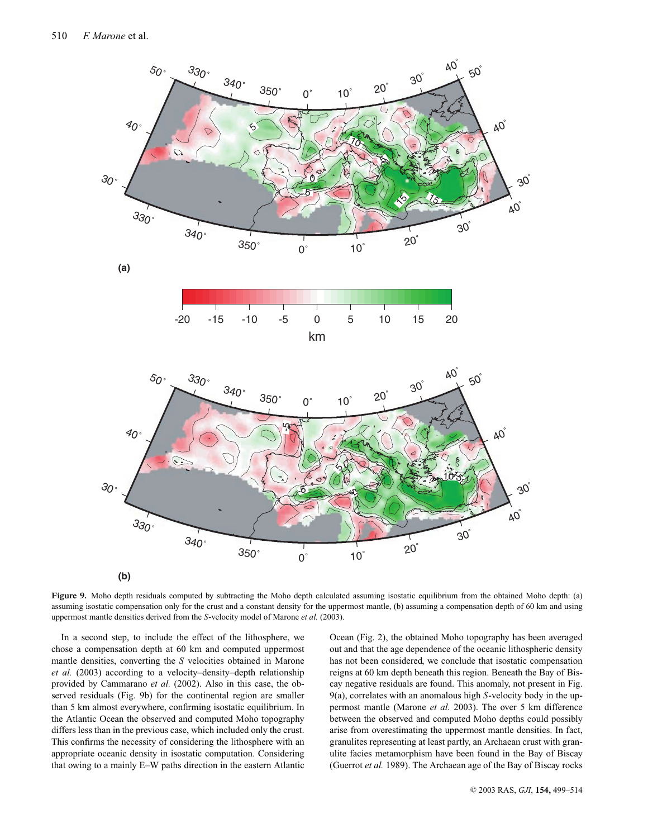

**Figure 9.** Moho depth residuals computed by subtracting the Moho depth calculated assuming isostatic equilibrium from the obtained Moho depth: (a) assuming isostatic compensation only for the crust and a constant density for the uppermost mantle, (b) assuming a compensation depth of 60 km and using uppermost mantle densities derived from the *S*-velocity model of Marone *et al.* (2003).

In a second step, to include the effect of the lithosphere, we chose a compensation depth at 60 km and computed uppermost mantle densities, converting the *S* velocities obtained in Marone *et al.* (2003) according to a velocity–density–depth relationship provided by Cammarano *et al.* (2002). Also in this case, the observed residuals (Fig. 9b) for the continental region are smaller than 5 km almost everywhere, confirming isostatic equilibrium. In the Atlantic Ocean the observed and computed Moho topography differs less than in the previous case, which included only the crust. This confirms the necessity of considering the lithosphere with an appropriate oceanic density in isostatic computation. Considering that owing to a mainly E–W paths direction in the eastern Atlantic

Ocean (Fig. 2), the obtained Moho topography has been averaged out and that the age dependence of the oceanic lithospheric density has not been considered, we conclude that isostatic compensation reigns at 60 km depth beneath this region. Beneath the Bay of Biscay negative residuals are found. This anomaly, not present in Fig. 9(a), correlates with an anomalous high *S*-velocity body in the uppermost mantle (Marone *et al.* 2003). The over 5 km difference between the observed and computed Moho depths could possibly arise from overestimating the uppermost mantle densities. In fact, granulites representing at least partly, an Archaean crust with granulite facies metamorphism have been found in the Bay of Biscay (Guerrot *et al.* 1989). The Archaean age of the Bay of Biscay rocks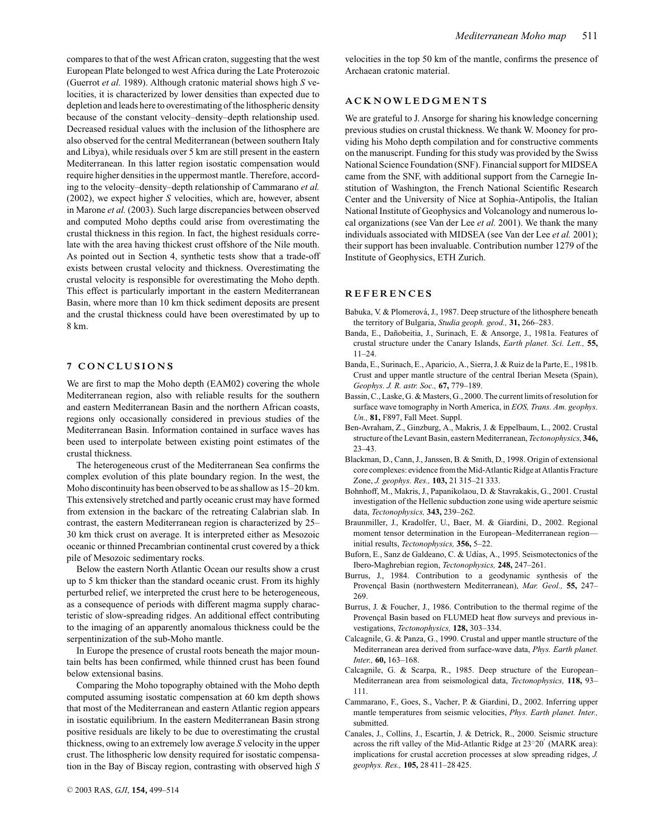compares to that of the west African craton, suggesting that the west European Plate belonged to west Africa during the Late Proterozoic (Guerrot *et al.* 1989). Although cratonic material shows high *S* velocities, it is characterized by lower densities than expected due to depletion and leads here to overestimating of the lithospheric density because of the constant velocity–density–depth relationship used. Decreased residual values with the inclusion of the lithosphere are also observed for the central Mediterranean (between southern Italy and Libya), while residuals over 5 km are still present in the eastern Mediterranean. In this latter region isostatic compensation would require higher densities in the uppermost mantle. Therefore, according to the velocity–density–depth relationship of Cammarano *et al.* (2002), we expect higher *S* velocities, which are, however, absent in Marone *et al.* (2003). Such large discrepancies between observed and computed Moho depths could arise from overestimating the crustal thickness in this region. In fact, the highest residuals correlate with the area having thickest crust offshore of the Nile mouth. As pointed out in Section 4, synthetic tests show that a trade-off exists between crustal velocity and thickness. Overestimating the crustal velocity is responsible for overestimating the Moho depth. This effect is particularly important in the eastern Mediterranean Basin, where more than 10 km thick sediment deposits are present and the crustal thickness could have been overestimated by up to 8 km.

#### **7 CONCLUSIONS**

We are first to map the Moho depth (EAM02) covering the whole Mediterranean region, also with reliable results for the southern and eastern Mediterranean Basin and the northern African coasts, regions only occasionally considered in previous studies of the Mediterranean Basin. Information contained in surface waves has been used to interpolate between existing point estimates of the crustal thickness.

The heterogeneous crust of the Mediterranean Sea confirms the complex evolution of this plate boundary region. In the west, the Moho discontinuity has been observed to be as shallow as 15–20 km. This extensively stretched and partly oceanic crust may have formed from extension in the backarc of the retreating Calabrian slab. In contrast, the eastern Mediterranean region is characterized by 25– 30 km thick crust on average. It is interpreted either as Mesozoic oceanic or thinned Precambrian continental crust covered by a thick pile of Mesozoic sedimentary rocks.

Below the eastern North Atlantic Ocean our results show a crust up to 5 km thicker than the standard oceanic crust. From its highly perturbed relief, we interpreted the crust here to be heterogeneous, as a consequence of periods with different magma supply characteristic of slow-spreading ridges. An additional effect contributing to the imaging of an apparently anomalous thickness could be the serpentinization of the sub-Moho mantle.

In Europe the presence of crustal roots beneath the major mountain belts has been confirmed, while thinned crust has been found below extensional basins.

Comparing the Moho topography obtained with the Moho depth computed assuming isostatic compensation at 60 km depth shows that most of the Mediterranean and eastern Atlantic region appears in isostatic equilibrium. In the eastern Mediterranean Basin strong positive residuals are likely to be due to overestimating the crustal thickness, owing to an extremely low average *S* velocity in the upper crust. The lithospheric low density required for isostatic compensation in the Bay of Biscay region, contrasting with observed high *S* velocities in the top 50 km of the mantle, confirms the presence of Archaean cratonic material.

#### **ACKNOWLEDGMENTS**

We are grateful to J. Ansorge for sharing his knowledge concerning previous studies on crustal thickness. We thank W. Mooney for providing his Moho depth compilation and for constructive comments on the manuscript. Funding for this study was provided by the Swiss National Science Foundation (SNF). Financial support for MIDSEA came from the SNF, with additional support from the Carnegie Institution of Washington, the French National Scientific Research Center and the University of Nice at Sophia-Antipolis, the Italian National Institute of Geophysics and Volcanology and numerous local organizations (see Van der Lee *et al.* 2001). We thank the many individuals associated with MIDSEA (see Van der Lee *et al.* 2001); their support has been invaluable. Contribution number 1279 of the Institute of Geophysics, ETH Zurich.

#### **REFERENCES**

- Babuka, V. & Plomerová, J., 1987. Deep structure of the lithosphere beneath the territory of Bulgaria, *Studia geoph. geod.,* **31,** 266–283.
- Banda, E., Dañobeitia, J., Surinach, E. & Ansorge, J., 1981a. Features of crustal structure under the Canary Islands, *Earth planet. Sci. Lett.,* **55,** 11–24.
- Banda, E., Surinach, E., Aparicio, A., Sierra, J. & Ruiz de la Parte, E., 1981b. Crust and upper mantle structure of the central Iberian Meseta (Spain), *Geophys. J. R. astr. Soc.,* **67,** 779–189.
- Bassin, C., Laske, G. & Masters, G., 2000. The current limits of resolution for surface wave tomography in North America, in *EOS, Trans. Am. geophys. Un.,* **81,** F897, Fall Meet. Suppl.
- Ben-Avraham, Z., Ginzburg, A., Makris, J. & Eppelbaum, L., 2002. Crustal structure of the Levant Basin, eastern Mediterranean, *Tectonophysics,* **346,** 23–43.
- Blackman, D., Cann, J., Janssen, B. & Smith, D., 1998. Origin of extensional core complexes: evidence from the Mid-Atlantic Ridge at Atlantis Fracture Zone, *J. geophys. Res.,* **103,** 21 315–21 333.
- Bohnhoff, M., Makris, J., Papanikolaou, D. & Stavrakakis, G., 2001. Crustal investigation of the Hellenic subduction zone using wide aperture seismic data, *Tectonophysics,* **343,** 239–262.
- Braunmiller, J., Kradolfer, U., Baer, M. & Giardini, D., 2002. Regional moment tensor determination in the European–Mediterranean region initial results, *Tectonophysics,* **356,** 5–22.
- Buforn, E., Sanz de Galdeano, C. & Udías, A., 1995. Seismotectonics of the Ibero-Maghrebian region, *Tectonophysics,* **248,** 247–261.
- Burrus, J., 1984. Contribution to a geodynamic synthesis of the Provençal Basin (northwestern Mediterranean), Mar. Geol., 55, 247-269.
- Burrus, J. & Foucher, J., 1986. Contribution to the thermal regime of the Provençal Basin based on FLUMED heat flow surveys and previous investigations, *Tectonophysics,* **128,** 303–334.
- Calcagnile, G. & Panza, G., 1990. Crustal and upper mantle structure of the Mediterranean area derived from surface-wave data, *Phys. Earth planet. Inter.,* **60,** 163–168.
- Calcagnile, G. & Scarpa, R., 1985. Deep structure of the European– Mediterranean area from seismological data, *Tectonophysics,* **118,** 93– 111.
- Cammarano, F., Goes, S., Vacher, P. & Giardini, D., 2002. Inferring upper mantle temperatures from seismic velocities, *Phys. Earth planet. Inter.,* submitted.
- Canales, J., Collins, J., Escartín, J. & Detrick, R., 2000. Seismic structure across the rift valley of the Mid-Atlantic Ridge at 23◦20 (MARK area): implications for crustal accretion processes at slow spreading ridges, *J. geophys. Res.,* **105,** 28 411–28 425.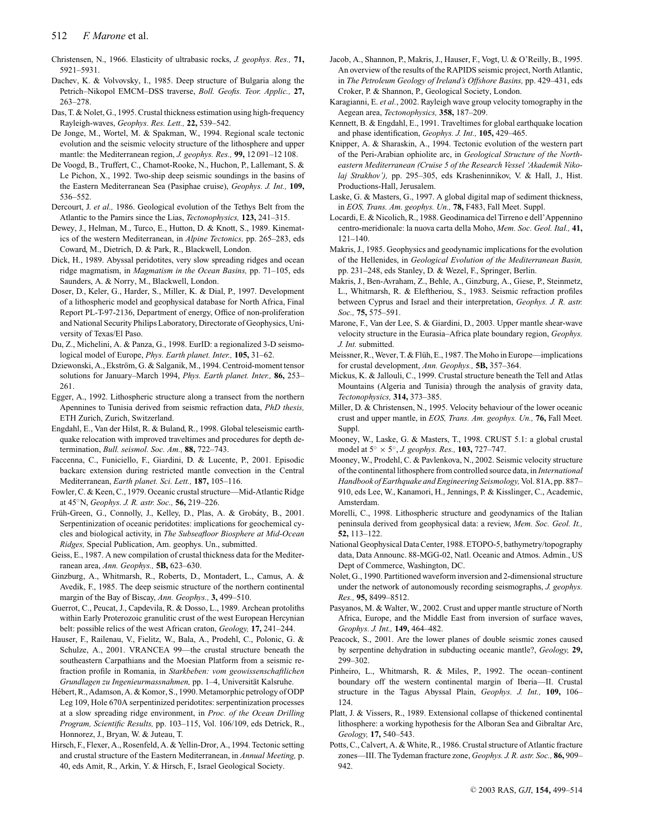Christensen, N., 1966. Elasticity of ultrabasic rocks, *J. geophys. Res.,* **71,** 5921–5931.

- Dachev, K. & Volvovsky, I., 1985. Deep structure of Bulgaria along the Petrich–Nikopol EMCM–DSS traverse, *Boll. Geofis. Teor. Applic.,* **27,** 263–278.
- Das, T. & Nolet, G., 1995. Crustal thickness estimation using high-frequency Rayleigh-waves, *Geophys. Res. Lett.,* **22,** 539–542.
- De Jonge, M., Wortel, M. & Spakman, W., 1994. Regional scale tectonic evolution and the seismic velocity structure of the lithosphere and upper mantle: the Mediterranean region, *J. geophys. Res.,* **99,** 12 091–12 108.
- De Voogd, B., Truffert, C., Chamot-Rooke, N., Huchon, P., Lallemant, S. & Le Pichon, X., 1992. Two-ship deep seismic soundings in the basins of the Eastern Mediterranean Sea (Pasiphae cruise), *Geophys. J. Int.,* **109,** 536–552.
- Dercourt, J. *et al.,* 1986. Geological evolution of the Tethys Belt from the Atlantic to the Pamirs since the Lias, *Tectonophysics,* **123,** 241–315.
- Dewey, J., Helman, M., Turco, E., Hutton, D. & Knott, S., 1989. Kinematics of the western Mediterranean, in *Alpine Tectonics,* pp. 265–283, eds Coward, M., Dietrich, D. & Park, R., Blackwell, London.
- Dick, H., 1989. Abyssal peridotites, very slow spreading ridges and ocean ridge magmatism, in *Magmatism in the Ocean Basins,* pp. 71–105, eds Saunders, A. & Norry, M., Blackwell, London.
- Doser, D., Keler, G., Harder, S., Miller, K. & Dial, P., 1997. Development of a lithospheric model and geophysical database for North Africa, Final Report PL-T-97-2136, Department of energy, Office of non-proliferation and National Security Philips Laboratory, Directorate of Geophysics, University of Texas/El Paso.
- Du, Z., Michelini, A. & Panza, G., 1998. EurID: a regionalized 3-D seismological model of Europe, *Phys. Earth planet. Inter.,* **105,** 31–62.
- Dziewonski, A., Ekström, G. & Salganik, M., 1994. Centroid-moment tensor solutions for January–March 1994, *Phys. Earth planet. Inter.,* **86,** 253– 261.
- Egger, A., 1992. Lithospheric structure along a transect from the northern Apennines to Tunisia derived from seismic refraction data, *PhD thesis,* ETH Zurich, Zurich, Switzerland.
- Engdahl, E., Van der Hilst, R. & Buland, R., 1998. Global teleseismic earthquake relocation with improved traveltimes and procedures for depth determination, *Bull. seismol. Soc. Am.,* **88,** 722–743.
- Faccenna, C., Funiciello, F., Giardini, D. & Lucente, P., 2001. Episodic backarc extension during restricted mantle convection in the Central Mediterranean, *Earth planet. Sci. Lett.,* **187,** 105–116.
- Fowler, C. & Keen, C., 1979. Oceanic crustal structure—Mid-Atlantic Ridge at 45◦N, *Geophys. J. R. astr. Soc.,* **56,** 219–226.
- Früh-Green, G., Connolly, J., Kelley, D., Plas, A. & Grobáty, B., 2001. Serpentinization of oceanic peridotites: implications for geochemical cycles and biological activity, in *The Subseafloor Biosphere at Mid-Ocean Ridges,* Special Publication, Am. geophys. Un., submitted.
- Geiss, E., 1987. A new compilation of crustal thickness data for the Mediterranean area, *Ann. Geophys.,* **5B,** 623–630.
- Ginzburg, A., Whitmarsh, R., Roberts, D., Montadert, L., Camus, A. & Avedik, F., 1985. The deep seismic structure of the northern continental margin of the Bay of Biscay, *Ann. Geophys.,* **3,** 499–510.
- Guerrot, C., Peucat, J., Capdevila, R. & Dosso, L., 1989. Archean protoliths within Early Proterozoic granulitic crust of the west European Hercynian belt: possible relics of the west African craton, *Geology,* **17,** 241–244.
- Hauser, F., Railenau, V., Fielitz, W., Bala, A., Prodehl, C., Polonic, G. & Schulze, A., 2001. VRANCEA 99—the crustal structure beneath the southeastern Carpathians and the Moesian Platform from a seismic refraction profile in Romania, in *Starkbeben: vom geowissenschaftlichen Grundlagen zu Ingenieurmassnahmen,* pp. 1–4, Universitat Kalsruhe. ¨
- Hébert, R., Adamson, A. & Komor, S., 1990. Metamorphic petrology of ODP Leg 109, Hole 670A serpentinized peridotites: serpentinization processes at a slow spreading ridge environment, in *Proc. of the Ocean Drilling Program, Scientific Results,* pp. 103–115, Vol. 106/109, eds Detrick, R., Honnorez, J., Bryan, W. & Juteau, T.
- Hirsch, F., Flexer, A., Rosenfeld, A. & Yellin-Dror, A., 1994. Tectonic setting and crustal structure of the Eastern Mediterranean, in *Annual Meeting,* p. 40, eds Amit, R., Arkin, Y. & Hirsch, F., Israel Geological Society.
- Jacob, A., Shannon, P., Makris, J., Hauser, F., Vogt, U. & O'Reilly, B., 1995. An overview of the results of the RAPIDS seismic project, North Atlantic, in *The Petroleum Geology of Ireland's Offshore Basins,* pp. 429–431, eds Croker, P. & Shannon, P., Geological Society, London.
- Karagianni, E. *et al.*, 2002. Rayleigh wave group velocity tomography in the Aegean area, *Tectonophysics,* **358,** 187–209.
- Kennett, B. & Engdahl, E., 1991. Traveltimes for global earthquake location and phase identification, *Geophys. J. Int.,* **105,** 429–465.
- Knipper, A. & Sharaskin, A., 1994. Tectonic evolution of the western part of the Peri-Arabian ophiolite arc, in *Geological Structure of the Northeastern Mediterranean (Cruise 5 of the Research Vessel 'Akademik Nikolaj Strakhov'),* pp. 295–305, eds Krasheninnikov, V. & Hall, J., Hist. Productions-Hall, Jerusalem.
- Laske, G. & Masters, G., 1997. A global digital map of sediment thickness, in *EOS, Trans. Am. geophys. Un.,* **78,** F483, Fall Meet. Suppl.
- Locardi, E. & Nicolich, R., 1988. Geodinamica del Tirreno e dell'Appennino centro-meridionale: la nuova carta della Moho, *Mem. Soc. Geol. Ital.,* **41,** 121–140.
- Makris, J., 1985. Geophysics and geodynamic implications for the evolution of the Hellenides, in *Geological Evolution of the Mediterranean Basin,* pp. 231–248, eds Stanley, D. & Wezel, F., Springer, Berlin.
- Makris, J., Ben-Avraham, Z., Behle, A., Ginzburg, A., Giese, P., Steinmetz, L., Whitmarsh, R. & Eleftheriou, S., 1983. Seismic refraction profiles between Cyprus and Israel and their interpretation, *Geophys. J. R. astr. Soc.,* **75,** 575–591.
- Marone, F., Van der Lee, S. & Giardini, D., 2003. Upper mantle shear-wave velocity structure in the Eurasia–Africa plate boundary region, *Geophys. J. Int.* submitted.
- Meissner, R., Wever, T. & Flüh, E., 1987. The Moho in Europe—implications for crustal development, *Ann. Geophys.,* **5B,** 357–364.
- Mickus, K. & Jallouli, C., 1999. Crustal structure beneath the Tell and Atlas Mountains (Algeria and Tunisia) through the analysis of gravity data, *Tectonophysics,* **314,** 373–385.
- Miller, D. & Christensen, N., 1995. Velocity behaviour of the lower oceanic crust and upper mantle, in *EOS, Trans. Am. geophys. Un.,* **76,** Fall Meet. Suppl.
- Mooney, W., Laske, G. & Masters, T., 1998. CRUST 5.1: a global crustal model at 5◦ × 5◦, *J. geophys. Res.,* **103,** 727–747.
- Mooney, W., Prodehl, C. & Pavlenkova, N., 2002. Seismic velocity structure of the continental lithosphere from controlled source data, in *International Handbook of Earthquake and Engineering Seismology,* Vol. 81A, pp. 887– 910, eds Lee, W., Kanamori, H., Jennings, P. & Kisslinger, C., Academic, Amsterdam.
- Morelli, C., 1998. Lithospheric structure and geodynamics of the Italian peninsula derived from geophysical data: a review, *Mem. Soc. Geol. It.,* **52,** 113–122.
- National Geophysical Data Center, 1988. ETOPO-5, bathymetry/topography data, Data Announc. 88-MGG-02, Natl. Oceanic and Atmos. Admin., US Dept of Commerce, Washington, DC.
- Nolet, G., 1990. Partitioned waveform inversion and 2-dimensional structure under the network of autonomously recording seismographs, *J. geophys. Res.,* **95,** 8499–8512.
- Pasyanos, M. & Walter, W., 2002. Crust and upper mantle structure of North Africa, Europe, and the Middle East from inversion of surface waves, *Geophys. J. Int.,* **149,** 464–482.
- Peacock, S., 2001. Are the lower planes of double seismic zones caused by serpentine dehydration in subducting oceanic mantle?, *Geology,* **29,** 299–302.
- Pinheiro, L., Whitmarsh, R. & Miles, P., 1992. The ocean–continent boundary off the western continental margin of Iberia—II. Crustal structure in the Tagus Abyssal Plain, *Geophys. J. Int.,* **109,** 106– 124.
- Platt, J. & Vissers, R., 1989. Extensional collapse of thickened continental lithosphere: a working hypothesis for the Alboran Sea and Gibraltar Arc, *Geology,* **17,** 540–543.
- Potts, C., Calvert, A. & White, R., 1986. Crustal structure of Atlantic fracture zones—III. The Tydeman fracture zone, *Geophys. J. R. astr. Soc.,* **86,** 909– 942.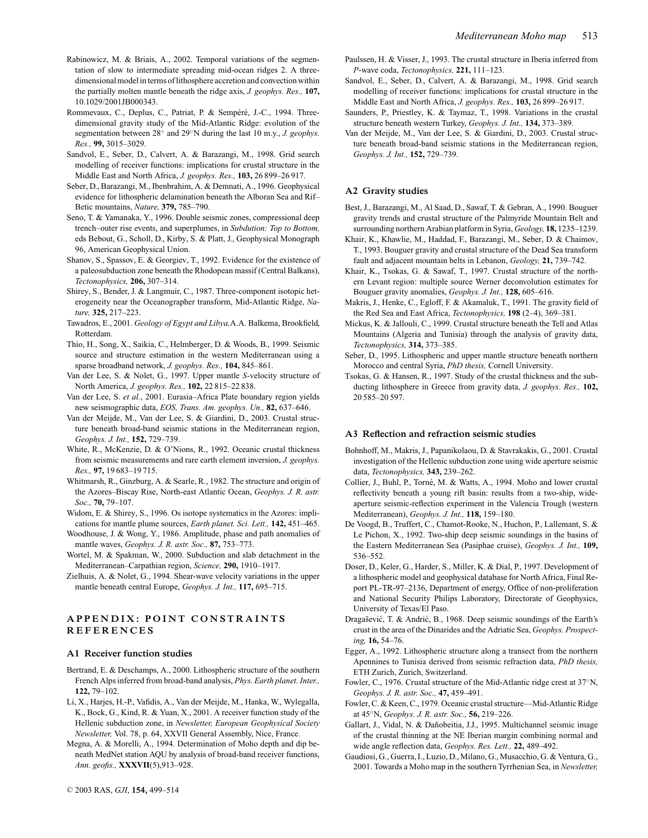- Rabinowicz, M. & Briais, A., 2002. Temporal variations of the segmentation of slow to intermediate spreading mid-ocean ridges 2. A threedimensional model in terms of lithosphere accretion and convection within the partially molten mantle beneath the ridge axis, *J. geophys. Res.,* **107,** 10.1029/2001JB000343.
- Rommevaux, C., Deplus, C., Patriat, P. & Sempéré, J.-C., 1994. Threedimensional gravity study of the Mid-Atlantic Ridge: evolution of the segmentation between 28◦ and 29◦N during the last 10 m.y., *J. geophys. Res.,* **99,** 3015–3029.
- Sandvol, E., Seber, D., Calvert, A. & Barazangi, M., 1998. Grid search modelling of receiver functions: implications for crustal structure in the Middle East and North Africa, *J. geophys. Res.,* **103,** 26 899–26 917.
- Seber, D., Barazangi, M., Ibenbrahim, A. & Demnati, A., 1996. Geophysical evidence for lithospheric delamination beneath the Alboran Sea and Rif– Betic mountains, *Nature,* **379,** 785–790.
- Seno, T. & Yamanaka, Y., 1996. Double seismic zones, compressional deep trench–outer rise events, and superplumes, in *Subdution: Top to Bottom,* eds Bebout, G., Scholl, D., Kirby, S. & Platt, J., Geophysical Monograph 96, American Geophysical Union.
- Shanov, S., Spassov, E. & Georgiev, T., 1992. Evidence for the existence of a paleosubduction zone beneath the Rhodopean massif (Central Balkans), *Tectonophysics,* **206,** 307–314.
- Shirey, S., Bender, J. & Langmuir, C., 1987. Three-component isotopic heterogeneity near the Oceanographer transform, Mid-Atlantic Ridge, *Nature,* **325,** 217–223.
- Tawadros, E., 2001. *Geology of Egypt and Libya,*A.A. Balkema, Brookfield, Rotterdam.
- Thio, H., Song, X., Saikia, C., Helmberger, D. & Woods, B., 1999. Seismic source and structure estimation in the western Mediterranean using a sparse broadband network, *J. geophys. Res.,* **104,** 845–861.
- Van der Lee, S. & Nolet, G., 1997. Upper mantle *S*-velocity structure of North America, *J. geophys. Res.,* **102,** 22 815–22 838.
- Van der Lee, S. *et al.*, 2001. Eurasia–Africa Plate boundary region yields new seismographic data, *EOS, Trans. Am. geophys. Un.,* **82,** 637–646.
- Van der Meijde, M., Van der Lee, S. & Giardini, D., 2003. Crustal structure beneath broad-band seismic stations in the Mediterranean region, *Geophys. J. Int.,* **152,** 729–739.
- White, R., McKenzie, D. & O'Nions, R., 1992. Oceanic crustal thickness from seismic measurements and rare earth element inversion, *J. geophys. Res.,* **97,** 19 683–19 715.
- Whitmarsh, R., Ginzburg, A. & Searle, R., 1982. The structure and origin of the Azores–Biscay Rise, North-east Atlantic Ocean, *Geophys. J. R. astr. Soc.,* **70,** 79–107.
- Widom, E. & Shirey, S., 1996. Os isotope systematics in the Azores: implications for mantle plume sources, *Earth planet. Sci. Lett.,* **142,** 451–465.
- Woodhouse, J. & Wong, Y., 1986. Amplitude, phase and path anomalies of mantle waves, *Geophys. J. R. astr. Soc.,* **87,** 753–773.
- Wortel, M. & Spakman, W., 2000. Subduction and slab detachment in the Mediterranean–Carpathian region, *Science,* **290,** 1910–1917.
- Zielhuis, A. & Nolet, G., 1994. Shear-wave velocity variations in the upper mantle beneath central Europe, *Geophys. J. Int.,* **117,** 695–715.

#### **APPENDIX: POINT CONSTRAINTS REFERENCES**

#### **A1 Receiver function studies**

- Bertrand, E. & Deschamps, A., 2000. Lithospheric structure of the southern French Alps inferred from broad-band analysis, *Phys. Earth planet. Inter.,* **122,** 79–102.
- Li, X., Harjes, H.-P., Vafidis, A., Van der Meijde, M., Hanka, W., Wylegalla, K., Bock, G., Kind, R. & Yuan, X., 2001. A receiver function study of the Hellenic subduction zone, in *Newsletter, European Geophysical Society Newsletter,* Vol. 78, p. 64, XXVII General Assembly, Nice, France.
- Megna, A. & Morelli, A., 1994. Determination of Moho depth and dip beneath MedNet station AQU by analysis of broad-band receiver functions, *Ann. geofis.,* **XXXVII**(5),913–928.
- Paulssen, H. & Visser, J., 1993. The crustal structure in Iberia inferred from *P*-wave coda, *Tectonophysics,* **221,** 111–123.
- Sandvol, E., Seber, D., Calvert, A. & Barazangi, M., 1998. Grid search modelling of receiver functions: implications for crustal structure in the Middle East and North Africa, *J. geophys. Res.,* **103,** 26 899–26 917.
- Saunders, P., Priestley, K. & Taymaz, T., 1998. Variations in the crustal structure beneath western Turkey, *Geophys. J. Int.,* **134,** 373–389.
- Van der Meijde, M., Van der Lee, S. & Giardini, D., 2003. Crustal structure beneath broad-band seismic stations in the Mediterranean region, *Geophys. J. Int.,* **152,** 729–739.

#### **A2 Gravity studies**

- Best, J., Barazangi, M., Al Saad, D., Sawaf, T. & Gebran, A., 1990. Bouguer gravity trends and crustal structure of the Palmyride Mountain Belt and surrounding northern Arabian platform in Syria, *Geology,* **18,** 1235–1239.
- Khair, K., Khawlie, M., Haddad, F., Barazangi, M., Seber, D. & Chaimov, T., 1993. Bouguer gravity and crustal structure of the Dead Sea transform fault and adjacent mountain belts in Lebanon, *Geology,* **21,** 739–742.

Khair, K., Tsokas, G. & Sawaf, T., 1997. Crustal structure of the northern Levant region: multiple source Werner deconvolution estimates for Bouguer gravity anomalies, *Geophys. J. Int.,* **128,** 605–616.

Makris, J., Henke, C., Egloff, F. & Akamaluk, T., 1991. The gravity field of the Red Sea and East Africa, *Tectonophysics,* **198** (2–4), 369–381.

- Mickus, K. & Jallouli, C., 1999. Crustal structure beneath the Tell and Atlas Mountains (Algeria and Tunisia) through the analysis of gravity data, *Tectonophysics,* **314,** 373–385.
- Seber, D., 1995. Lithospheric and upper mantle structure beneath northern Morocco and central Syria, *PhD thesis,* Cornell University.
- Tsokas, G. & Hansen, R., 1997. Study of the crustal thickness and the subducting lithosphere in Greece from gravity data, *J. geophys. Res.,* **102,** 20 585–20 597.

#### **A3 Reflection and refraction seismic studies**

- Bohnhoff, M., Makris, J., Papanikolaou, D. & Stavrakakis, G., 2001. Crustal investigation of the Hellenic subduction zone using wide aperture seismic data, *Tectonophysics,* **343,** 239–262.
- Collier, J., Buhl, P., Torné, M. & Watts, A., 1994. Moho and lower crustal reflectivity beneath a young rift basin: results from a two-ship, wideaperture seismic-reflection experiment in the Valencia Trough (western Mediterranean), *Geophys. J. Int.,* **118,** 159–180.
- De Voogd, B., Truffert, C., Chamot-Rooke, N., Huchon, P., Lallemant, S. & Le Pichon, X., 1992. Two-ship deep seismic soundings in the basins of the Eastern Mediterranean Sea (Pasiphae cruise), *Geophys. J. Int.,* **109,** 536–552.
- Doser, D., Keler, G., Harder, S., Miller, K. & Dial, P., 1997. Development of a lithospheric model and geophysical database for North Africa, Final Report PL-TR-97–2136, Department of energy, Office of non-proliferation and National Security Philips Laboratory, Directorate of Geophysics, University of Texas/El Paso.
- Dragašević, T. & Andrić, B., 1968. Deep seismic soundings of the Earth's crust in the area of the Dinarides and the Adriatic Sea, *Geophys. Prospecting,* **16,** 54–76.
- Egger, A., 1992. Lithospheric structure along a transect from the northern Apennines to Tunisia derived from seismic refraction data, *PhD thesis,* ETH Zurich, Zurich, Switzerland.
- Fowler, C., 1976. Crustal structure of the Mid-Atlantic ridge crest at 37◦N, *Geophys. J. R. astr. Soc.,* **47,** 459–491.
- Fowler, C. & Keen, C., 1979. Oceanic crustal structure—Mid-Atlantic Ridge at 45◦N, *Geophys. J. R. astr. Soc.,* **56,** 219–226.
- Gallart, J., Vidal, N. & Dañobeitia, J.J., 1995. Multichannel seismic image of the crustal thinning at the NE Iberian margin combining normal and wide angle reflection data, *Geophys. Res. Lett.,* **22,** 489–492.
- Gaudiosi, G., Guerra, I., Luzio, D., Milano, G., Musacchio, G. & Ventura, G., 2001. Towards a Moho map in the southern Tyrrhenian Sea, in *Newsletter,*